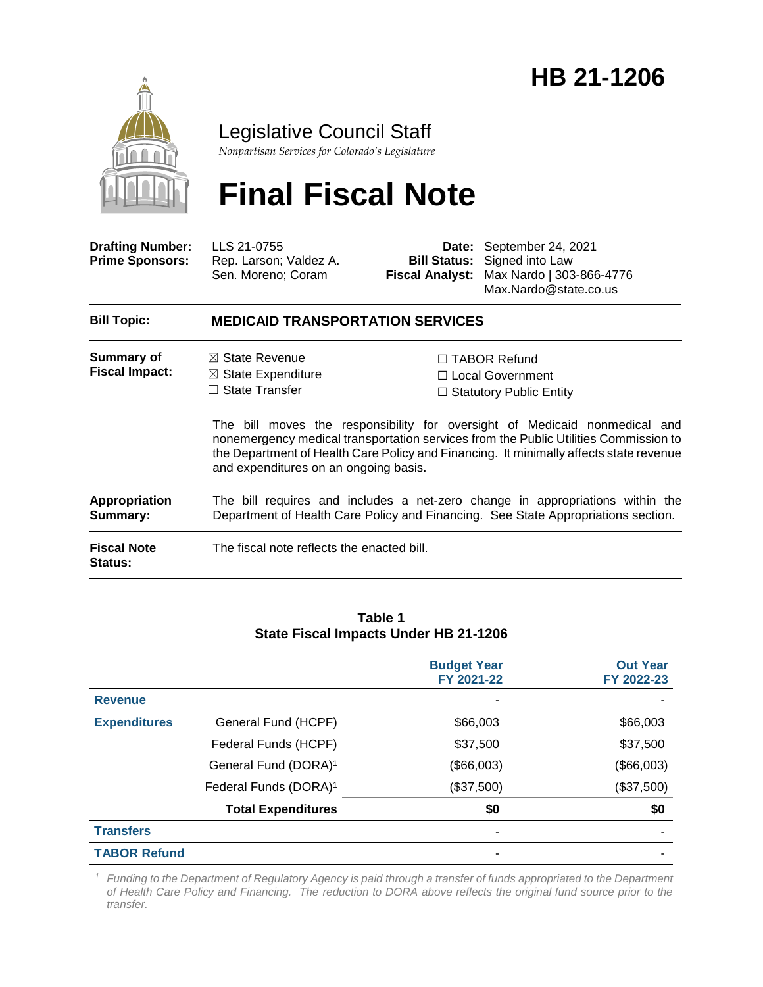## September 24, 2021 **HB 21-1206**



### Legislative Council Staff

*Nonpartisan Services for Colorado's Legislature*

# **Final Fiscal Note**

**Drafting Number: Prime Sponsors:** LLS 21-0755 Rep. Larson; Valdez A. Sen. Moreno; Coram

**Date:** September 24, 2021 **Bill Status:** Signed into Law **Fiscal Analyst:** Max Nardo | 303-866-4776 Max.Nardo@state.co.us

| <b>Bill Topic:</b>                   | <b>MEDICAID TRANSPORTATION SERVICES</b>                                                                                                                            |                                                                                                                                                                                                                                                              |  |
|--------------------------------------|--------------------------------------------------------------------------------------------------------------------------------------------------------------------|--------------------------------------------------------------------------------------------------------------------------------------------------------------------------------------------------------------------------------------------------------------|--|
| <b>Summary of</b>                    | $\boxtimes$ State Revenue                                                                                                                                          | $\Box$ TABOR Refund                                                                                                                                                                                                                                          |  |
| <b>Fiscal Impact:</b>                | $\boxtimes$ State Expenditure                                                                                                                                      | □ Local Government                                                                                                                                                                                                                                           |  |
|                                      | $\Box$ State Transfer                                                                                                                                              | $\Box$ Statutory Public Entity                                                                                                                                                                                                                               |  |
|                                      | and expenditures on an ongoing basis.                                                                                                                              | The bill moves the responsibility for oversight of Medicaid nonmedical and<br>nonemergency medical transportation services from the Public Utilities Commission to<br>the Department of Health Care Policy and Financing. It minimally affects state revenue |  |
| Appropriation<br>Summary:            | The bill requires and includes a net-zero change in appropriations within the<br>Department of Health Care Policy and Financing. See State Appropriations section. |                                                                                                                                                                                                                                                              |  |
| <b>Fiscal Note</b><br><b>Status:</b> | The fiscal note reflects the enacted bill.                                                                                                                         |                                                                                                                                                                                                                                                              |  |

#### **Table 1 State Fiscal Impacts Under HB 21-1206**

|                     |                                   | <b>Budget Year</b><br>FY 2021-22 | <b>Out Year</b><br>FY 2022-23 |
|---------------------|-----------------------------------|----------------------------------|-------------------------------|
| <b>Revenue</b>      |                                   |                                  |                               |
| <b>Expenditures</b> | General Fund (HCPF)               | \$66,003                         | \$66,003                      |
|                     | Federal Funds (HCPF)              | \$37,500                         | \$37,500                      |
|                     | General Fund (DORA) <sup>1</sup>  | (\$66,003)                       | (\$66,003)                    |
|                     | Federal Funds (DORA) <sup>1</sup> | (\$37,500)                       | (\$37,500)                    |
|                     | <b>Total Expenditures</b>         | \$0                              | \$0                           |
| <b>Transfers</b>    |                                   |                                  |                               |
| <b>TABOR Refund</b> |                                   |                                  |                               |

*<sup>1</sup> Funding to the Department of Regulatory Agency is paid through a transfer of funds appropriated to the Department of Health Care Policy and Financing. The reduction to DORA above reflects the original fund source prior to the transfer.*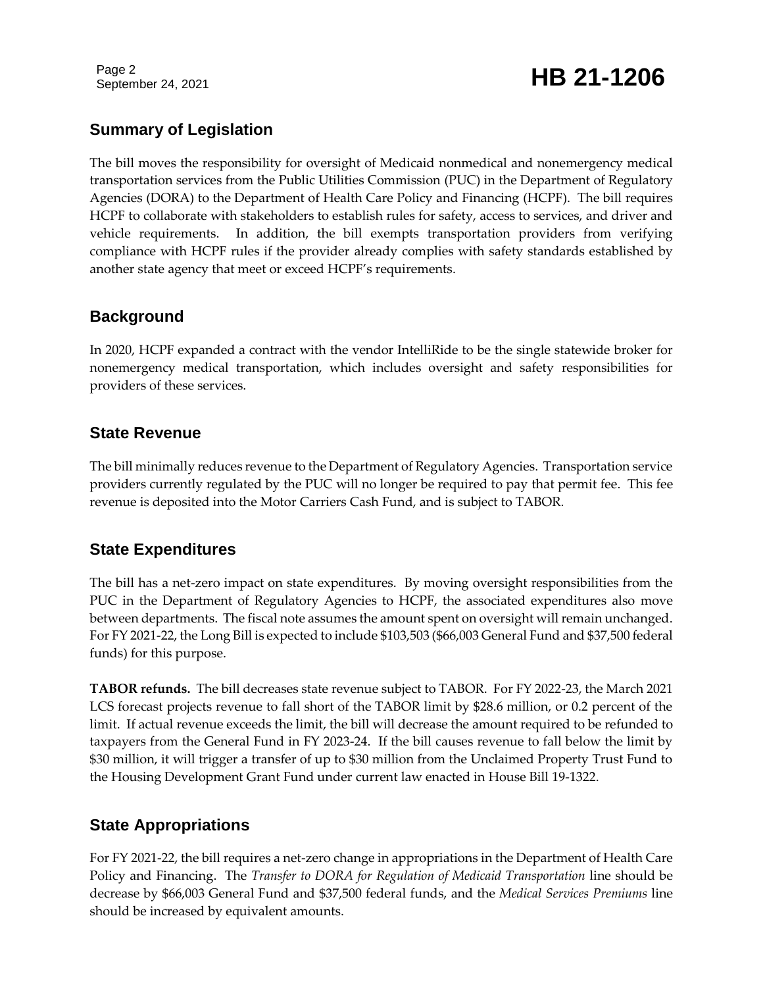Page 2

### September 24, 2021 **HB 21-1206**

#### **Summary of Legislation**

The bill moves the responsibility for oversight of Medicaid nonmedical and nonemergency medical transportation services from the Public Utilities Commission (PUC) in the Department of Regulatory Agencies (DORA) to the Department of Health Care Policy and Financing (HCPF). The bill requires HCPF to collaborate with stakeholders to establish rules for safety, access to services, and driver and vehicle requirements. In addition, the bill exempts transportation providers from verifying compliance with HCPF rules if the provider already complies with safety standards established by another state agency that meet or exceed HCPF's requirements.

#### **Background**

In 2020, HCPF expanded a contract with the vendor IntelliRide to be the single statewide broker for nonemergency medical transportation, which includes oversight and safety responsibilities for providers of these services.

#### **State Revenue**

The bill minimally reduces revenue to the Department of Regulatory Agencies. Transportation service providers currently regulated by the PUC will no longer be required to pay that permit fee. This fee revenue is deposited into the Motor Carriers Cash Fund, and is subject to TABOR.

#### **State Expenditures**

The bill has a net-zero impact on state expenditures. By moving oversight responsibilities from the PUC in the Department of Regulatory Agencies to HCPF, the associated expenditures also move between departments. The fiscal note assumes the amount spent on oversight will remain unchanged. For FY 2021-22, the Long Bill is expected to include \$103,503 (\$66,003 General Fund and \$37,500 federal funds) for this purpose.

**TABOR refunds.** The bill decreases state revenue subject to TABOR. For FY 2022-23, the March 2021 LCS forecast projects revenue to fall short of the TABOR limit by \$28.6 million, or 0.2 percent of the limit. If actual revenue exceeds the limit, the bill will decrease the amount required to be refunded to taxpayers from the General Fund in FY 2023-24. If the bill causes revenue to fall below the limit by \$30 million, it will trigger a transfer of up to \$30 million from the Unclaimed Property Trust Fund to the Housing Development Grant Fund under current law enacted in House Bill 19-1322.

#### **State Appropriations**

For FY 2021-22, the bill requires a net-zero change in appropriations in the Department of Health Care Policy and Financing. The *Transfer to DORA for Regulation of Medicaid Transportation* line should be decrease by \$66,003 General Fund and \$37,500 federal funds, and the *Medical Services Premiums* line should be increased by equivalent amounts.